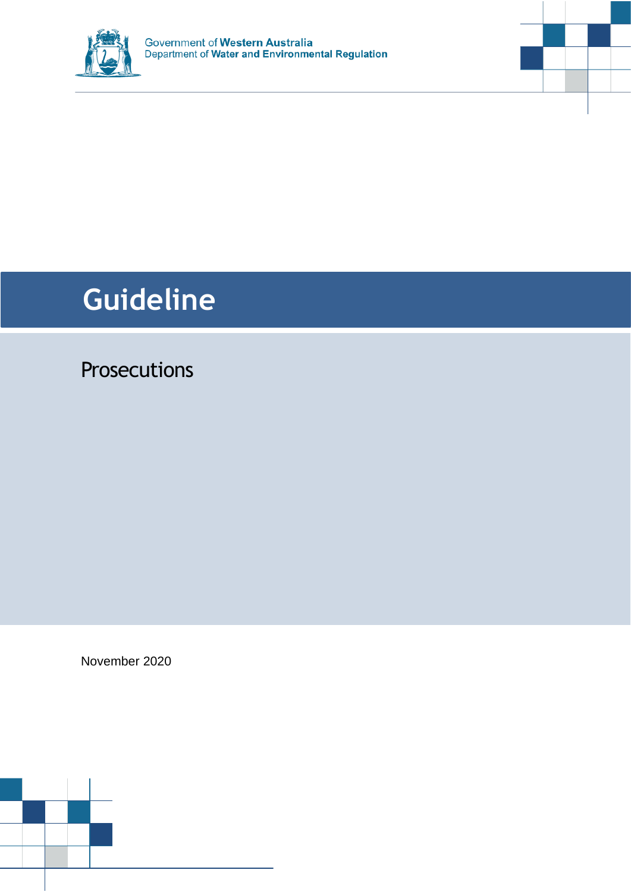



# **Guideline**

## Prosecutions

November 2020

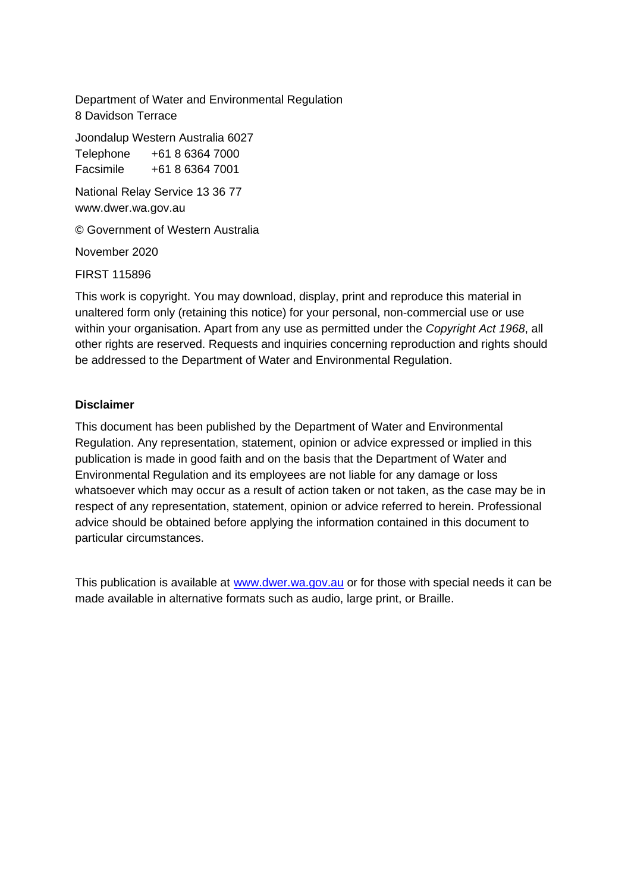Department of Water and Environmental Regulation 8 Davidson Terrace

Joondalup Western Australia 6027 Telephone +61 8 6364 7000

Facsimile +61 8 6364 7001

National Relay Service 13 36 77 www.dwer.wa.gov.au

© Government of Western Australia

November 2020

FIRST 115896

This work is copyright. You may download, display, print and reproduce this material in unaltered form only (retaining this notice) for your personal, non-commercial use or use within your organisation. Apart from any use as permitted under the *Copyright Act 1968*, all other rights are reserved. Requests and inquiries concerning reproduction and rights should be addressed to the Department of Water and Environmental Regulation.

#### **Disclaimer**

This document has been published by the Department of Water and Environmental Regulation. Any representation, statement, opinion or advice expressed or implied in this publication is made in good faith and on the basis that the Department of Water and Environmental Regulation and its employees are not liable for any damage or loss whatsoever which may occur as a result of action taken or not taken, as the case may be in respect of any representation, statement, opinion or advice referred to herein. Professional advice should be obtained before applying the information contained in this document to particular circumstances.

This publication is available at [www.dwer.wa.gov.au](http://www.dwer.wa.gov.au/) or for those with special needs it can be made available in alternative formats such as audio, large print, or Braille.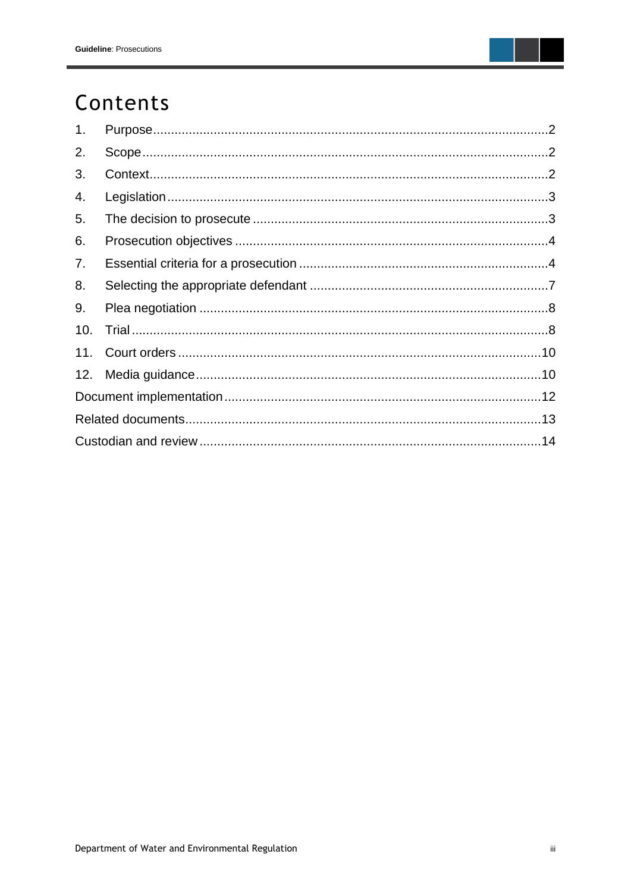

## Contents

| 1 <sub>1</sub> |  |
|----------------|--|
| 2.             |  |
| 3.             |  |
| 4.             |  |
| 5.             |  |
| 6.             |  |
| 7.             |  |
| 8.             |  |
| 9.             |  |
| 10.            |  |
| 11.            |  |
| 12.            |  |
|                |  |
|                |  |
|                |  |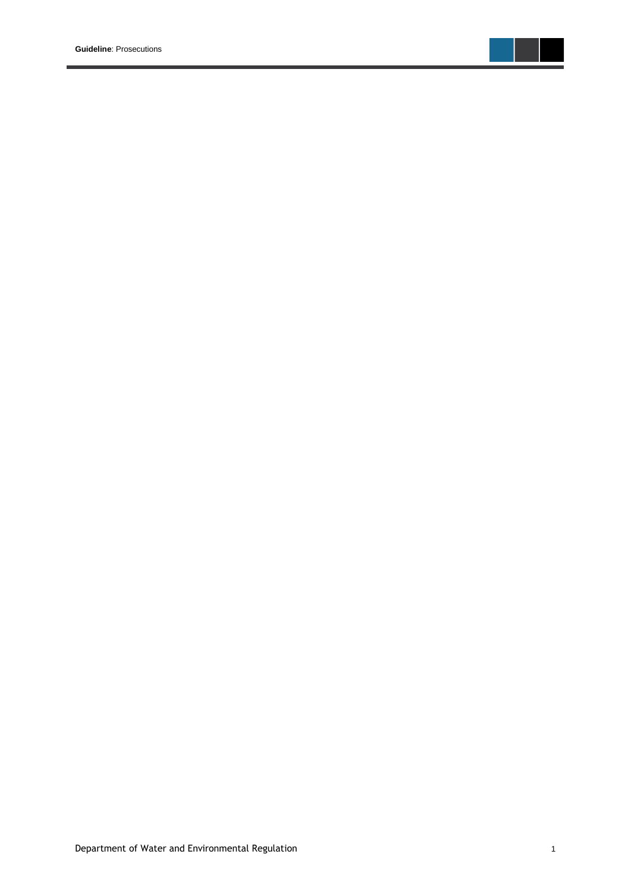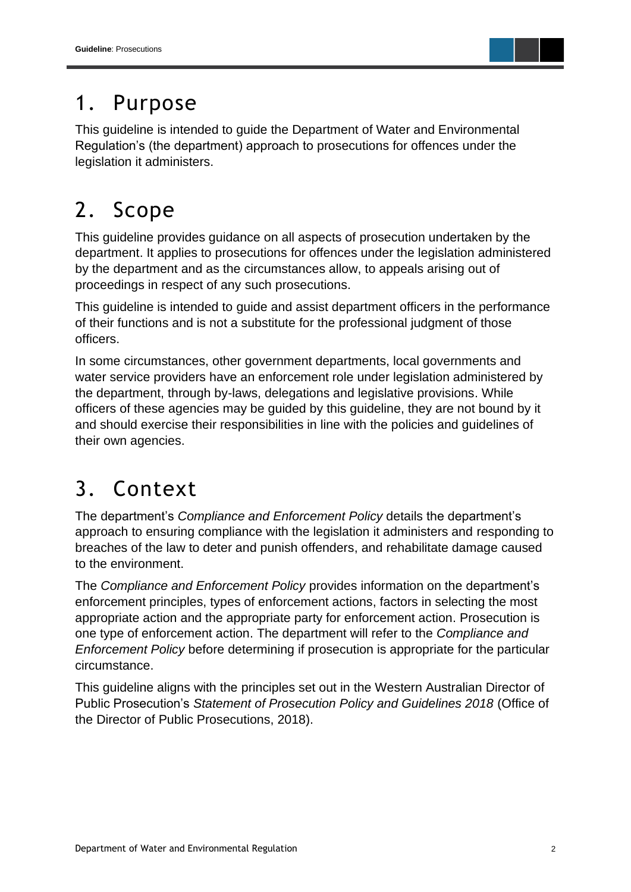

### <span id="page-4-0"></span>1. Purpose

This guideline is intended to guide the Department of Water and Environmental Regulation's (the department) approach to prosecutions for offences under the legislation it administers.

## <span id="page-4-1"></span>2. Scope

This guideline provides guidance on all aspects of prosecution undertaken by the department. It applies to prosecutions for offences under the legislation administered by the department and as the circumstances allow, to appeals arising out of proceedings in respect of any such prosecutions.

This guideline is intended to guide and assist department officers in the performance of their functions and is not a substitute for the professional judgment of those officers.

In some circumstances, other government departments, local governments and water service providers have an enforcement role under legislation administered by the department, through by-laws, delegations and legislative provisions. While officers of these agencies may be guided by this guideline, they are not bound by it and should exercise their responsibilities in line with the policies and guidelines of their own agencies.

## <span id="page-4-2"></span>3. Context

The department's *Compliance and Enforcement Policy* details the department's approach to ensuring compliance with the legislation it administers and responding to breaches of the law to deter and punish offenders, and rehabilitate damage caused to the environment.

The *Compliance and Enforcement Policy* provides information on the department's enforcement principles, types of enforcement actions, factors in selecting the most appropriate action and the appropriate party for enforcement action. Prosecution is one type of enforcement action. The department will refer to the *Compliance and Enforcement Policy* before determining if prosecution is appropriate for the particular circumstance.

This guideline aligns with the principles set out in the Western Australian Director of Public Prosecution's *Statement of Prosecution Policy and Guidelines 2018* (Office of the Director of Public Prosecutions, 2018).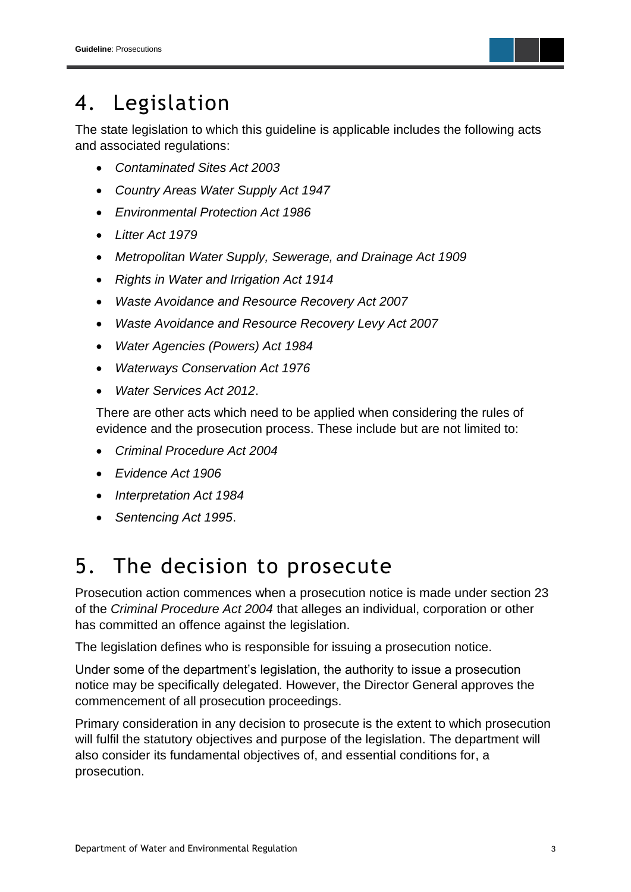

### <span id="page-5-0"></span>4. Legislation

The state legislation to which this guideline is applicable includes the following acts and associated regulations:

- *Contaminated Sites Act 2003*
- *Country Areas Water Supply Act 1947*
- *Environmental Protection Act 1986*
- *Litter Act 1979*
- *Metropolitan Water Supply, Sewerage, and Drainage Act 1909*
- *Rights in Water and Irrigation Act 1914*
- *Waste Avoidance and Resource Recovery Act 2007*
- *Waste Avoidance and Resource Recovery Levy Act 2007*
- *Water Agencies (Powers) Act 1984*
- *Waterways Conservation Act 1976*
- *Water Services Act 2012*.

There are other acts which need to be applied when considering the rules of evidence and the prosecution process. These include but are not limited to:

- *Criminal Procedure Act 2004*
- *Evidence Act 1906*
- *Interpretation Act 1984*
- *Sentencing Act 1995*.

## <span id="page-5-1"></span>5. The decision to prosecute

Prosecution action commences when a prosecution notice is made under section 23 of the *Criminal Procedure Act 2004* that alleges an individual, corporation or other has committed an offence against the legislation.

The legislation defines who is responsible for issuing a prosecution notice.

Under some of the department's legislation, the authority to issue a prosecution notice may be specifically delegated. However, the Director General approves the commencement of all prosecution proceedings.

Primary consideration in any decision to prosecute is the extent to which prosecution will fulfil the statutory objectives and purpose of the legislation. The department will also consider its fundamental objectives of, and essential conditions for, a prosecution.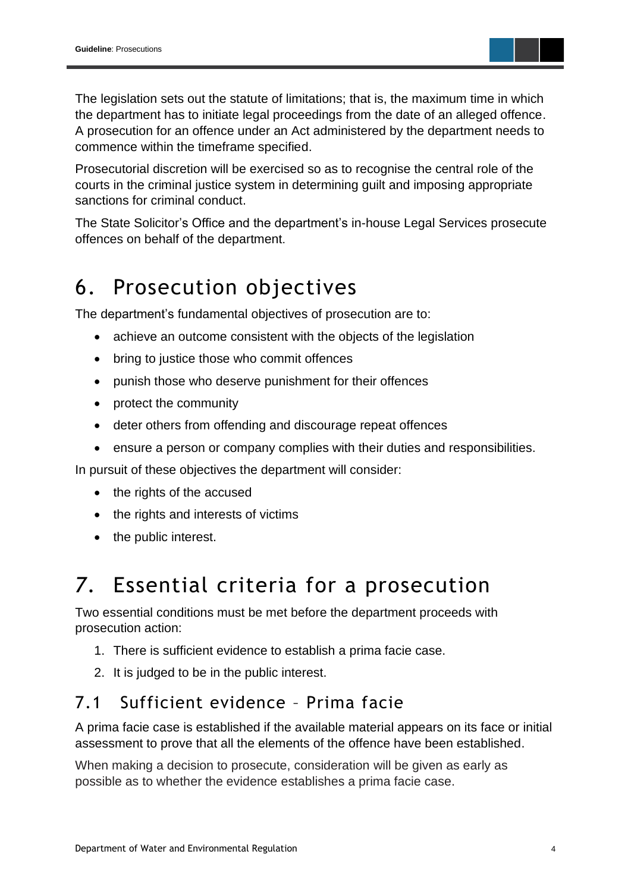

Prosecutorial discretion will be exercised so as to recognise the central role of the courts in the criminal justice system in determining guilt and imposing appropriate sanctions for criminal conduct.

The State Solicitor's Office and the department's in-house Legal Services prosecute offences on behalf of the department.

### <span id="page-6-0"></span>6. Prosecution objectives

The department's fundamental objectives of prosecution are to:

- achieve an outcome consistent with the objects of the legislation
- bring to justice those who commit offences
- punish those who deserve punishment for their offences
- protect the community
- deter others from offending and discourage repeat offences
- ensure a person or company complies with their duties and responsibilities.

In pursuit of these objectives the department will consider:

- the rights of the accused
- the rights and interests of victims
- the public interest.

### <span id="page-6-1"></span>*7.* Essential criteria for a prosecution

Two essential conditions must be met before the department proceeds with prosecution action:

- 1. There is sufficient evidence to establish a prima facie case.
- 2. It is judged to be in the public interest.

### 7.1 Sufficient evidence – Prima facie

A prima facie case is established if the available material appears on its face or initial assessment to prove that all the elements of the offence have been established.

When making a decision to prosecute, consideration will be given as early as possible as to whether the evidence establishes a prima facie case.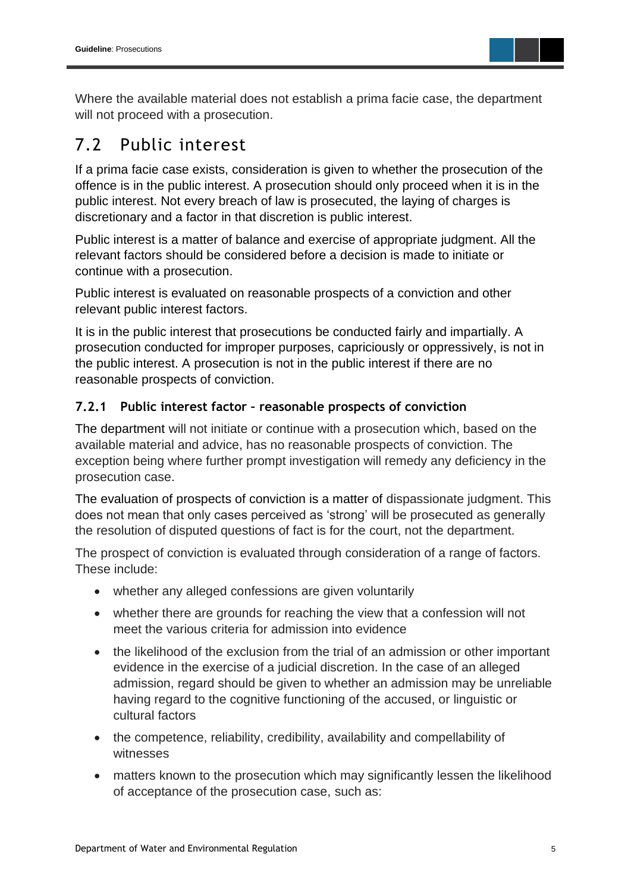

Where the available material does not establish a prima facie case, the department will not proceed with a prosecution.

### 7.2 Public interest

If a prima facie case exists, consideration is given to whether the prosecution of the offence is in the public interest. A prosecution should only proceed when it is in the public interest. Not every breach of law is prosecuted, the laying of charges is discretionary and a factor in that discretion is public interest.

Public interest is a matter of balance and exercise of appropriate judgment. All the relevant factors should be considered before a decision is made to initiate or continue with a prosecution.

Public interest is evaluated on reasonable prospects of a conviction and other relevant public interest factors.

It is in the public interest that prosecutions be conducted fairly and impartially. A prosecution conducted for improper purposes, capriciously or oppressively, is not in the public interest. A prosecution is not in the public interest if there are no reasonable prospects of conviction.

#### **7.2.1 Public interest factor – reasonable prospects of conviction**

The department will not initiate or continue with a prosecution which, based on the available material and advice, has no reasonable prospects of conviction. The exception being where further prompt investigation will remedy any deficiency in the prosecution case.

The evaluation of prospects of conviction is a matter of dispassionate judgment. This does not mean that only cases perceived as 'strong' will be prosecuted as generally the resolution of disputed questions of fact is for the court, not the department.

The prospect of conviction is evaluated through consideration of a range of factors. These include:

- whether any alleged confessions are given voluntarily
- whether there are grounds for reaching the view that a confession will not meet the various criteria for admission into evidence
- the likelihood of the exclusion from the trial of an admission or other important evidence in the exercise of a judicial discretion. In the case of an alleged admission, regard should be given to whether an admission may be unreliable having regard to the cognitive functioning of the accused, or linguistic or cultural factors
- the competence, reliability, credibility, availability and compellability of witnesses
- matters known to the prosecution which may significantly lessen the likelihood of acceptance of the prosecution case, such as: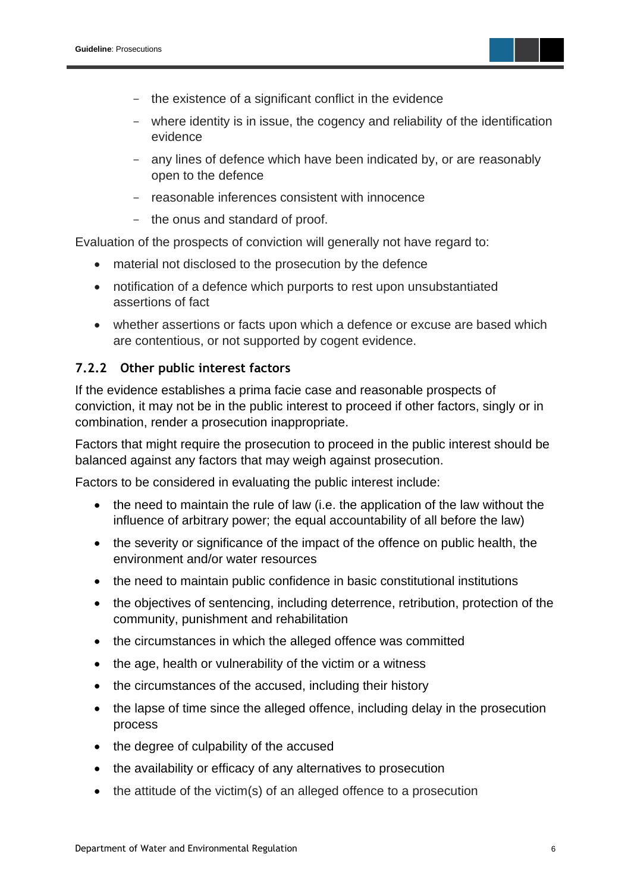

- the existence of a significant conflict in the evidence
- where identity is in issue, the cogency and reliability of the identification evidence
- any lines of defence which have been indicated by, or are reasonably open to the defence
- reasonable inferences consistent with innocence
- the onus and standard of proof.

Evaluation of the prospects of conviction will generally not have regard to:

- material not disclosed to the prosecution by the defence
- notification of a defence which purports to rest upon unsubstantiated assertions of fact
- whether assertions or facts upon which a defence or excuse are based which are contentious, or not supported by cogent evidence.

#### **7.2.2 Other public interest factors**

If the evidence establishes a prima facie case and reasonable prospects of conviction, it may not be in the public interest to proceed if other factors, singly or in combination, render a prosecution inappropriate.

Factors that might require the prosecution to proceed in the public interest should be balanced against any factors that may weigh against prosecution.

Factors to be considered in evaluating the public interest include:

- the need to maintain the rule of law (i.e. the application of the law without the influence of arbitrary power; the equal accountability of all before the law)
- the severity or significance of the impact of the offence on public health, the environment and/or water resources
- the need to maintain public confidence in basic constitutional institutions
- the objectives of sentencing, including deterrence, retribution, protection of the community, punishment and rehabilitation
- the circumstances in which the alleged offence was committed
- the age, health or vulnerability of the victim or a witness
- the circumstances of the accused, including their history
- the lapse of time since the alleged offence, including delay in the prosecution process
- the degree of culpability of the accused
- the availability or efficacy of any alternatives to prosecution
- the attitude of the victim(s) of an alleged offence to a prosecution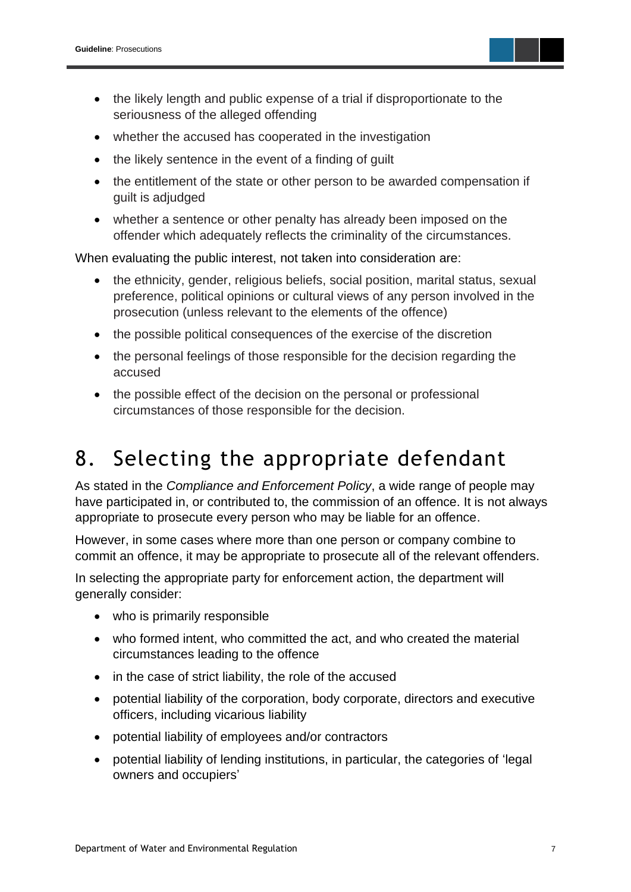

- the likely length and public expense of a trial if disproportionate to the seriousness of the alleged offending
- whether the accused has cooperated in the investigation
- the likely sentence in the event of a finding of quilt
- the entitlement of the state or other person to be awarded compensation if guilt is adjudged
- whether a sentence or other penalty has already been imposed on the offender which adequately reflects the criminality of the circumstances.

When evaluating the public interest, not taken into consideration are:

- the ethnicity, gender, religious beliefs, social position, marital status, sexual preference, political opinions or cultural views of any person involved in the prosecution (unless relevant to the elements of the offence)
- the possible political consequences of the exercise of the discretion
- the personal feelings of those responsible for the decision regarding the accused
- the possible effect of the decision on the personal or professional circumstances of those responsible for the decision.

## <span id="page-9-0"></span>8. Selecting the appropriate defendant

As stated in the *Compliance and Enforcement Policy*, a wide range of people may have participated in, or contributed to, the commission of an offence. It is not always appropriate to prosecute every person who may be liable for an offence.

However, in some cases where more than one person or company combine to commit an offence, it may be appropriate to prosecute all of the relevant offenders.

In selecting the appropriate party for enforcement action, the department will generally consider:

- who is primarily responsible
- who formed intent, who committed the act, and who created the material circumstances leading to the offence
- in the case of strict liability, the role of the accused
- potential liability of the corporation, body corporate, directors and executive officers, including vicarious liability
- potential liability of employees and/or contractors
- potential liability of lending institutions, in particular, the categories of 'legal owners and occupiers'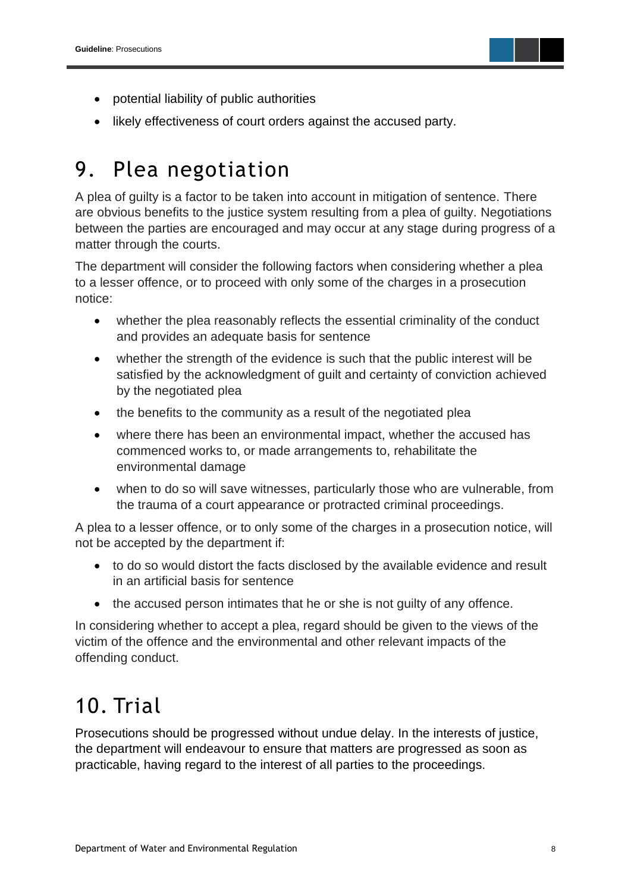

- potential liability of public authorities
- likely effectiveness of court orders against the accused party.

### <span id="page-10-0"></span>9. Plea negotiation

A plea of guilty is a factor to be taken into account in mitigation of sentence. There are obvious benefits to the justice system resulting from a plea of guilty. Negotiations between the parties are encouraged and may occur at any stage during progress of a matter through the courts.

The department will consider the following factors when considering whether a plea to a lesser offence, or to proceed with only some of the charges in a prosecution notice:

- whether the plea reasonably reflects the essential criminality of the conduct and provides an adequate basis for sentence
- whether the strength of the evidence is such that the public interest will be satisfied by the acknowledgment of guilt and certainty of conviction achieved by the negotiated plea
- the benefits to the community as a result of the negotiated plea
- where there has been an environmental impact, whether the accused has commenced works to, or made arrangements to, rehabilitate the environmental damage
- when to do so will save witnesses, particularly those who are vulnerable, from the trauma of a court appearance or protracted criminal proceedings.

A plea to a lesser offence, or to only some of the charges in a prosecution notice, will not be accepted by the department if:

- to do so would distort the facts disclosed by the available evidence and result in an artificial basis for sentence
- the accused person intimates that he or she is not guilty of any offence.

In considering whether to accept a plea, regard should be given to the views of the victim of the offence and the environmental and other relevant impacts of the offending conduct.

## <span id="page-10-1"></span>10. Trial

Prosecutions should be progressed without undue delay. In the interests of justice, the department will endeavour to ensure that matters are progressed as soon as practicable, having regard to the interest of all parties to the proceedings.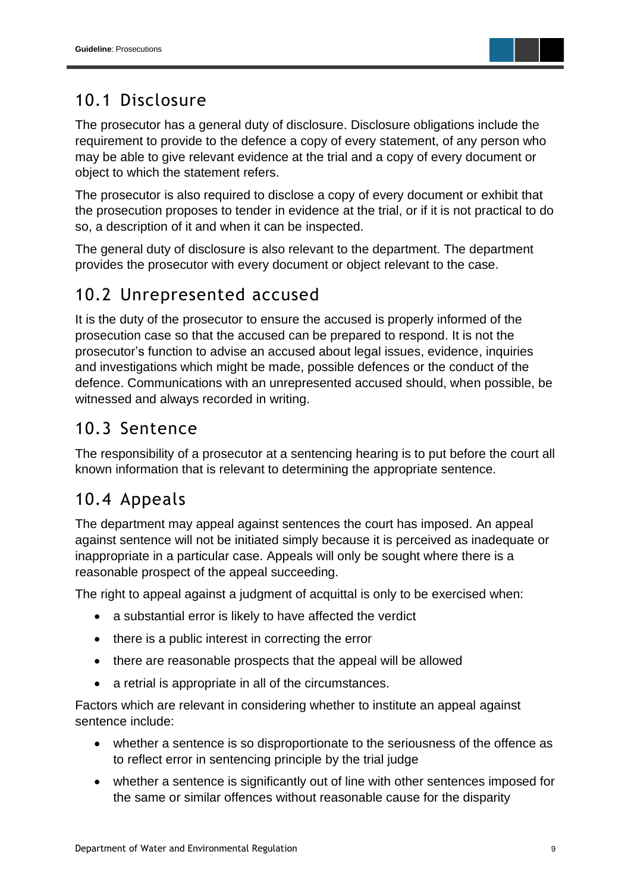

### 10.1 Disclosure

The prosecutor has a general duty of disclosure. Disclosure obligations include the requirement to provide to the defence a copy of every statement, of any person who may be able to give relevant evidence at the trial and a copy of every document or object to which the statement refers.

The prosecutor is also required to disclose a copy of every document or exhibit that the prosecution proposes to tender in evidence at the trial, or if it is not practical to do so, a description of it and when it can be inspected.

The general duty of disclosure is also relevant to the department. The department provides the prosecutor with every document or object relevant to the case.

### 10.2 Unrepresented accused

It is the duty of the prosecutor to ensure the accused is properly informed of the prosecution case so that the accused can be prepared to respond. It is not the prosecutor's function to advise an accused about legal issues, evidence, inquiries and investigations which might be made, possible defences or the conduct of the defence. Communications with an unrepresented accused should, when possible, be witnessed and always recorded in writing.

### 10.3 Sentence

The responsibility of a prosecutor at a sentencing hearing is to put before the court all known information that is relevant to determining the appropriate sentence.

### 10.4 Appeals

The department may appeal against sentences the court has imposed. An appeal against sentence will not be initiated simply because it is perceived as inadequate or inappropriate in a particular case. Appeals will only be sought where there is a reasonable prospect of the appeal succeeding.

The right to appeal against a judgment of acquittal is only to be exercised when:

- a substantial error is likely to have affected the verdict
- there is a public interest in correcting the error
- there are reasonable prospects that the appeal will be allowed
- a retrial is appropriate in all of the circumstances.

Factors which are relevant in considering whether to institute an appeal against sentence include:

- whether a sentence is so disproportionate to the seriousness of the offence as to reflect error in sentencing principle by the trial judge
- whether a sentence is significantly out of line with other sentences imposed for the same or similar offences without reasonable cause for the disparity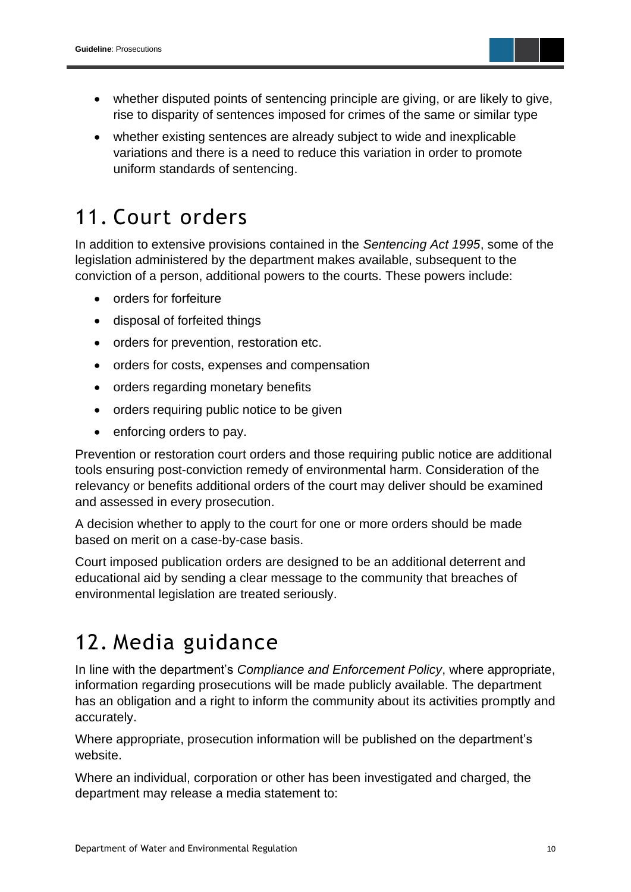

- whether disputed points of sentencing principle are giving, or are likely to give, rise to disparity of sentences imposed for crimes of the same or similar type
- whether existing sentences are already subject to wide and inexplicable variations and there is a need to reduce this variation in order to promote uniform standards of sentencing.

## <span id="page-12-0"></span>11. Court orders

In addition to extensive provisions contained in the *Sentencing Act 1995*, some of the legislation administered by the department makes available, subsequent to the conviction of a person, additional powers to the courts. These powers include:

- orders for forfeiture
- disposal of forfeited things
- orders for prevention, restoration etc.
- orders for costs, expenses and compensation
- orders regarding monetary benefits
- orders requiring public notice to be given
- enforcing orders to pay.

Prevention or restoration court orders and those requiring public notice are additional tools ensuring post-conviction remedy of environmental harm. Consideration of the relevancy or benefits additional orders of the court may deliver should be examined and assessed in every prosecution.

A decision whether to apply to the court for one or more orders should be made based on merit on a case-by-case basis.

Court imposed publication orders are designed to be an additional deterrent and educational aid by sending a clear message to the community that breaches of environmental legislation are treated seriously.

## <span id="page-12-1"></span>12. Media guidance

In line with the department's *Compliance and Enforcement Policy*, where appropriate, information regarding prosecutions will be made publicly available. The department has an obligation and a right to inform the community about its activities promptly and accurately.

Where appropriate, prosecution information will be published on the department's website.

Where an individual, corporation or other has been investigated and charged, the department may release a media statement to: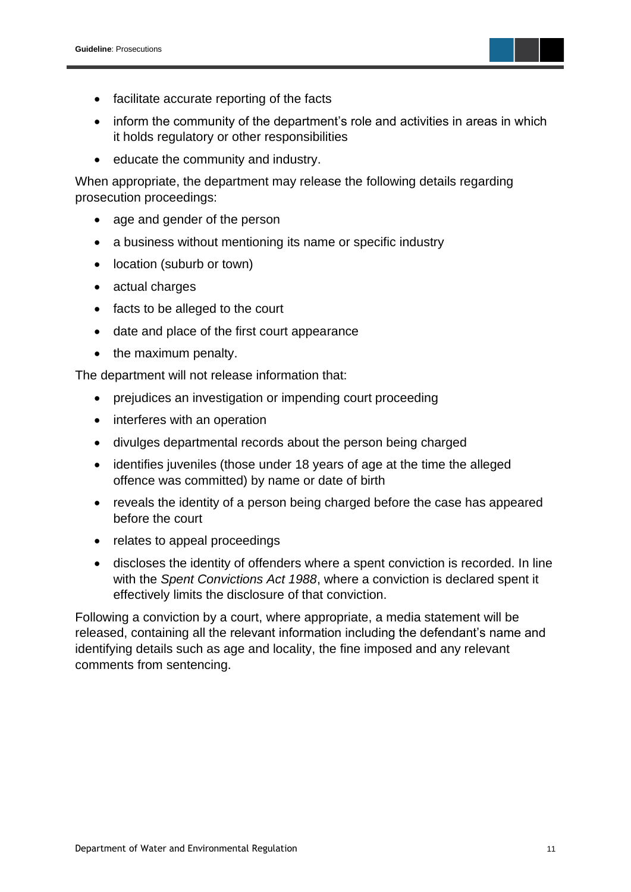

- facilitate accurate reporting of the facts
- inform the community of the department's role and activities in areas in which it holds regulatory or other responsibilities
- educate the community and industry.

When appropriate, the department may release the following details regarding prosecution proceedings:

- age and gender of the person
- a business without mentioning its name or specific industry
- location (suburb or town)
- actual charges
- facts to be alleged to the court
- date and place of the first court appearance
- the maximum penalty.

The department will not release information that:

- prejudices an investigation or impending court proceeding
- interferes with an operation
- divulges departmental records about the person being charged
- identifies juveniles (those under 18 years of age at the time the alleged offence was committed) by name or date of birth
- reveals the identity of a person being charged before the case has appeared before the court
- relates to appeal proceedings
- discloses the identity of offenders where a spent conviction is recorded. In line with the *Spent Convictions Act 1988*, where a conviction is declared spent it effectively limits the disclosure of that conviction.

Following a conviction by a court, where appropriate, a media statement will be released, containing all the relevant information including the defendant's name and identifying details such as age and locality, the fine imposed and any relevant comments from sentencing.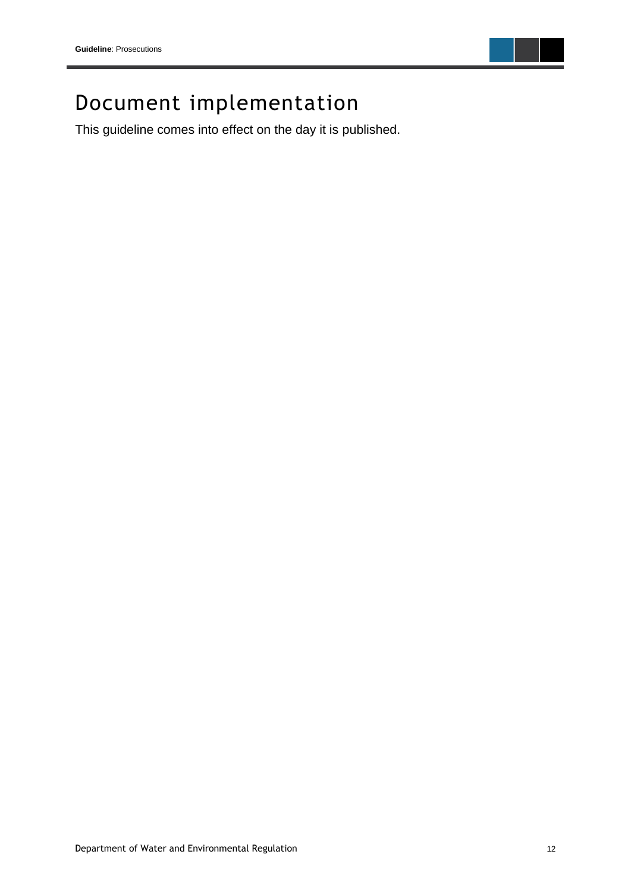

### <span id="page-14-0"></span>Document implementation

This guideline comes into effect on the day it is published.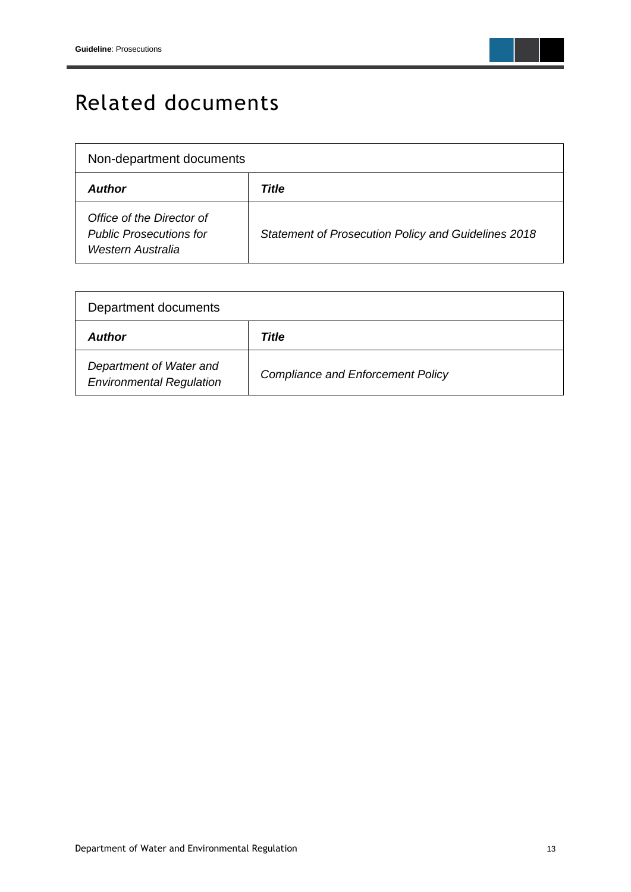$\blacksquare$ 



## <span id="page-15-0"></span>Related documents

| Non-department documents                                                         |                                                     |  |  |
|----------------------------------------------------------------------------------|-----------------------------------------------------|--|--|
| Author                                                                           | Title                                               |  |  |
| Office of the Director of<br><b>Public Prosecutions for</b><br>Western Australia | Statement of Prosecution Policy and Guidelines 2018 |  |  |

| Department documents                                       |                                   |  |  |
|------------------------------------------------------------|-----------------------------------|--|--|
| Author                                                     | Title                             |  |  |
| Department of Water and<br><b>Environmental Regulation</b> | Compliance and Enforcement Policy |  |  |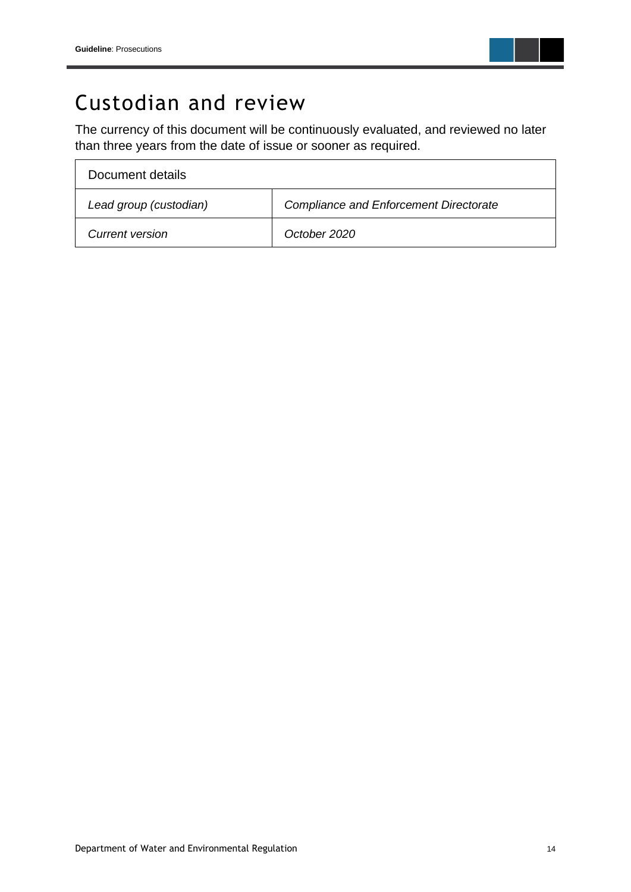

### <span id="page-16-0"></span>Custodian and review

The currency of this document will be continuously evaluated, and reviewed no later than three years from the date of issue or sooner as required.

| Document details       |                                               |  |  |
|------------------------|-----------------------------------------------|--|--|
| Lead group (custodian) | <b>Compliance and Enforcement Directorate</b> |  |  |
| <b>Current version</b> | October 2020                                  |  |  |